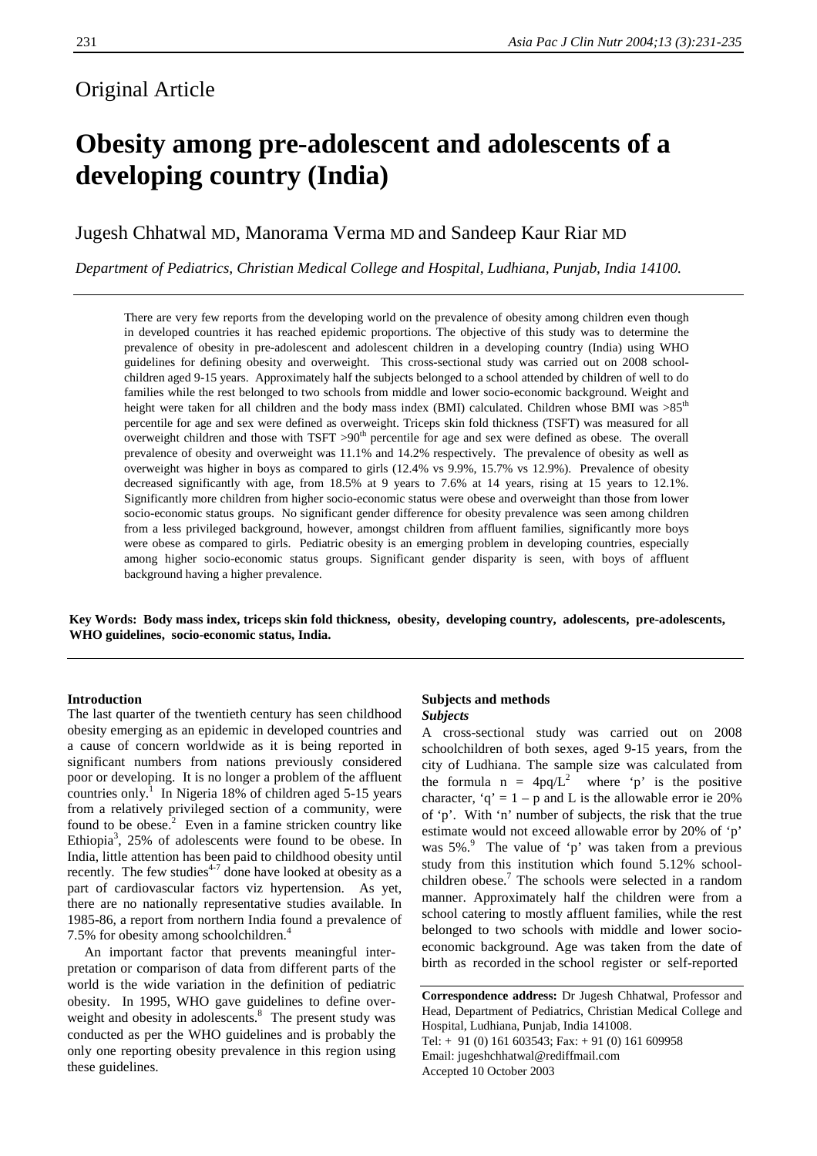## Original Article

# **Obesity among pre-adolescent and adolescents of a developing country (India)**

### Jugesh Chhatwal MD, Manorama Verma MD and Sandeep Kaur Riar MD

*Department of Pediatrics, Christian Medical College and Hospital, Ludhiana, Punjab, India 14100.*

There are very few reports from the developing world on the prevalence of obesity among children even though in developed countries it has reached epidemic proportions. The objective of this study was to determine the prevalence of obesity in pre-adolescent and adolescent children in a developing country (India) using WHO guidelines for defining obesity and overweight. This cross-sectional study was carried out on 2008 schoolchildren aged 9-15 years. Approximately half the subjects belonged to a school attended by children of well to do families while the rest belonged to two schools from middle and lower socio-economic background. Weight and height were taken for all children and the body mass index (BMI) calculated. Children whose BMI was >85<sup>th</sup> percentile for age and sex were defined as overweight. Triceps skin fold thickness (TSFT) was measured for all overweight children and those with TSFT  $>90<sup>th</sup>$  percentile for age and sex were defined as obese. The overall prevalence of obesity and overweight was 11.1% and 14.2% respectively. The prevalence of obesity as well as overweight was higher in boys as compared to girls (12.4% vs 9.9%, 15.7% vs 12.9%). Prevalence of obesity decreased significantly with age, from 18.5% at 9 years to 7.6% at 14 years, rising at 15 years to 12.1%. Significantly more children from higher socio-economic status were obese and overweight than those from lower socio-economic status groups. No significant gender difference for obesity prevalence was seen among children from a less privileged background, however, amongst children from affluent families, significantly more boys were obese as compared to girls. Pediatric obesity is an emerging problem in developing countries, especially among higher socio-economic status groups. Significant gender disparity is seen, with boys of affluent background having a higher prevalence.

**Key Words: Body mass index, triceps skin fold thickness, obesity, developing country, adolescents, pre-adolescents, WHO guidelines, socio-economic status, India.**

#### **Introduction**

The last quarter of the twentieth century has seen childhood obesity emerging as an epidemic in developed countries and a cause of concern worldwide as it is being reported in significant numbers from nations previously considered poor or developing. It is no longer a problem of the affluent countries only.<sup>1</sup> In Nigeria 18% of children aged 5-15 years from a relatively privileged section of a community, were found to be obese. $2$  Even in a famine stricken country like Ethiopia<sup>3</sup>, 25% of adolescents were found to be obese. In India, little attention has been paid to childhood obesity until recently. The few studies<sup> $4-7$ </sup> done have looked at obesity as a part of cardiovascular factors viz hypertension. As yet, there are no nationally representative studies available. In 1985-86, a report from northern India found a prevalence of 7.5% for obesity among schoolchildren.<sup>4</sup>

 An important factor that prevents meaningful interpretation or comparison of data from different parts of the world is the wide variation in the definition of pediatric obesity. In 1995, WHO gave guidelines to define overweight and obesity in adolescents.<sup>8</sup> The present study was conducted as per the WHO guidelines and is probably the only one reporting obesity prevalence in this region using these guidelines.

#### **Subjects and methods** *Subjects*

A cross-sectional study was carried out on 2008 schoolchildren of both sexes, aged 9-15 years, from the city of Ludhiana. The sample size was calculated from the formula  $n = 4pq/L^2$  where 'p' is the positive character, 'q' =  $1 - p$  and L is the allowable error ie 20% of 'p'. With 'n' number of subjects, the risk that the true estimate would not exceed allowable error by 20% of 'p' was 5%.<sup>9</sup> The value of 'p' was taken from a previous study from this institution which found 5.12% schoolchildren obese.<sup>7</sup> The schools were selected in a random manner. Approximately half the children were from a school catering to mostly affluent families, while the rest belonged to two schools with middle and lower socioeconomic background. Age was taken from the date of birth as recorded in the school register or self-reported

**Correspondence address:** Dr Jugesh Chhatwal, Professor and Head, Department of Pediatrics, Christian Medical College and Hospital, Ludhiana, Punjab, India 141008. Tel:  $+ 91 (0) 161 603543$ ; Fax:  $+ 91 (0) 161 609958$ Email: jugeshchhatwal@rediffmail.com

Accepted 10 October 2003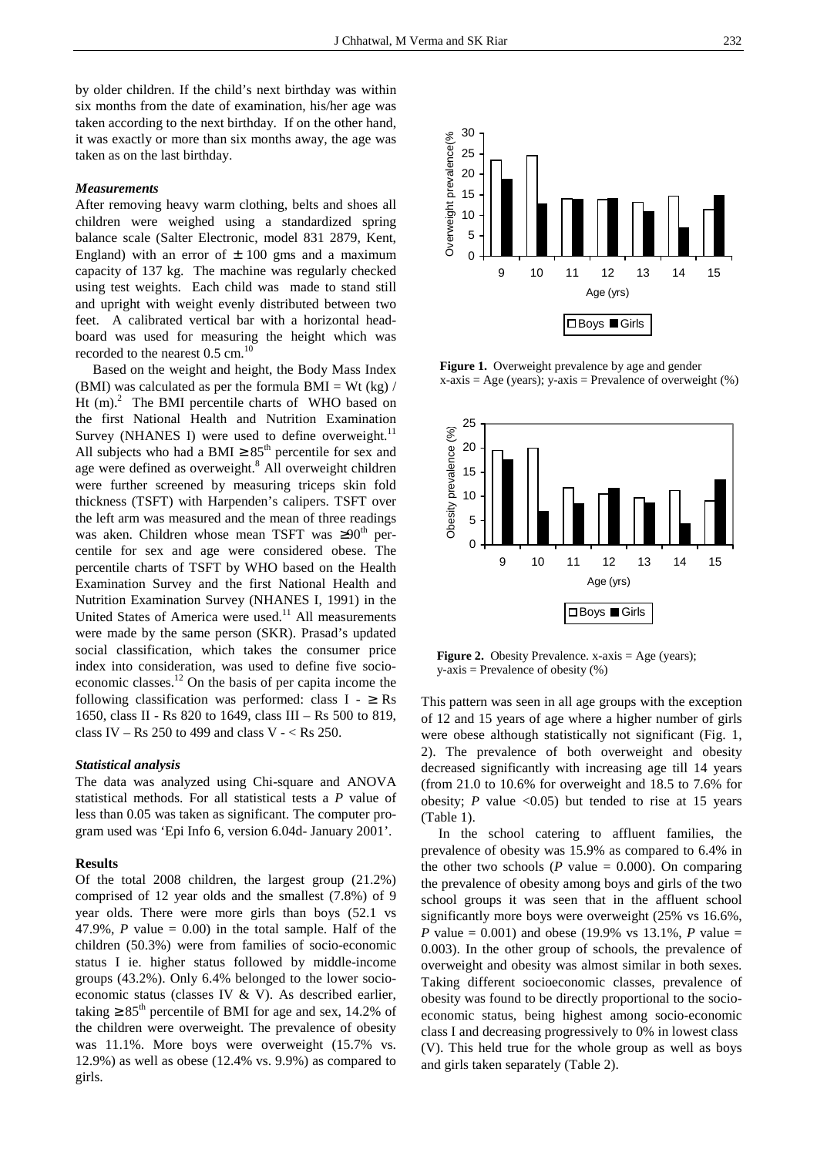by older children. If the child's next birthday was within six months from the date of examination, his/her age was taken according to the next birthday. If on the other hand, it was exactly or more than six months away, the age was taken as on the last birthday.

#### *Measurements*

After removing heavy warm clothing, belts and shoes all children were weighed using a standardized spring balance scale (Salter Electronic, model 831 2879, Kent, England) with an error of  $\pm$  100 gms and a maximum capacity of 137 kg. The machine was regularly checked using test weights. Each child was made to stand still and upright with weight evenly distributed between two feet. A calibrated vertical bar with a horizontal headboard was used for measuring the height which was recorded to the nearest  $0.5$  cm.<sup>10</sup>

 Based on the weight and height, the Body Mass Index (BMI) was calculated as per the formula BMI = Wt (kg)  $/$ Ht  $(m)$ .<sup>2</sup> The BMI percentile charts of WHO based on the first National Health and Nutrition Examination Survey (NHANES I) were used to define overweight. $11$ All subjects who had a BMI  $\geq 85^{\text{th}}$  percentile for sex and age were defined as overweight.<sup>8</sup> All overweight children were further screened by measuring triceps skin fold thickness (TSFT) with Harpenden's calipers. TSFT over the left arm was measured and the mean of three readings was aken. Children whose mean TSFT was  $\geq 90^{th}$  percentile for sex and age were considered obese. The percentile charts of TSFT by WHO based on the Health Examination Survey and the first National Health and Nutrition Examination Survey (NHANES I, 1991) in the United States of America were used.<sup>11</sup> All measurements were made by the same person (SKR). Prasad's updated social classification, which takes the consumer price index into consideration, was used to define five socioeconomic classes.12 On the basis of per capita income the following classification was performed: class  $I - \geq Rs$ 1650, class II - Rs 820 to 1649, class III – Rs 500 to 819, class IV – Rs 250 to 499 and class V -  $<$  Rs 250.

#### *Statistical analysis*

The data was analyzed using Chi-square and ANOVA statistical methods. For all statistical tests a *P* value of less than 0.05 was taken as significant. The computer program used was 'Epi Info 6, version 6.04d- January 2001'.

#### **Results**

Of the total 2008 children, the largest group (21.2%) comprised of 12 year olds and the smallest (7.8%) of 9 year olds. There were more girls than boys (52.1 vs 47.9%,  $P$  value = 0.00) in the total sample. Half of the children (50.3%) were from families of socio-economic status I ie. higher status followed by middle-income groups (43.2%). Only 6.4% belonged to the lower socioeconomic status (classes IV & V). As described earlier, taking  $\geq 85^{\text{th}}$  percentile of BMI for age and sex, 14.2% of the children were overweight. The prevalence of obesity was 11.1%. More boys were overweight (15.7% vs. 12.9%) as well as obese (12.4% vs. 9.9%) as compared to girls.



 **Figure 1.** Overweight prevalence by age and gender  $x-axis = Age (years); y-axis = Prevalence of overweight (%)$ 



**Figure 2.** Obesity Prevalence. x-axis = Age (years);  $y-axis$  = Prevalence of obesity  $(\%)$ 

This pattern was seen in all age groups with the exception of 12 and 15 years of age where a higher number of girls were obese although statistically not significant (Fig. 1, 2). The prevalence of both overweight and obesity decreased significantly with increasing age till 14 years (from 21.0 to 10.6% for overweight and 18.5 to 7.6% for obesity; *P* value  $\langle 0.05 \rangle$  but tended to rise at 15 years (Table 1).

 In the school catering to affluent families, the prevalence of obesity was 15.9% as compared to 6.4% in the other two schools ( $P$  value = 0.000). On comparing the prevalence of obesity among boys and girls of the two school groups it was seen that in the affluent school significantly more boys were overweight (25% vs 16.6%, *P* value = 0.001) and obese (19.9% vs 13.1%, *P* value = 0.003). In the other group of schools, the prevalence of overweight and obesity was almost similar in both sexes. Taking different socioeconomic classes, prevalence of obesity was found to be directly proportional to the socioeconomic status, being highest among socio-economic class I and decreasing progressively to 0% in lowest class (V). This held true for the whole group as well as boys and girls taken separately (Table 2).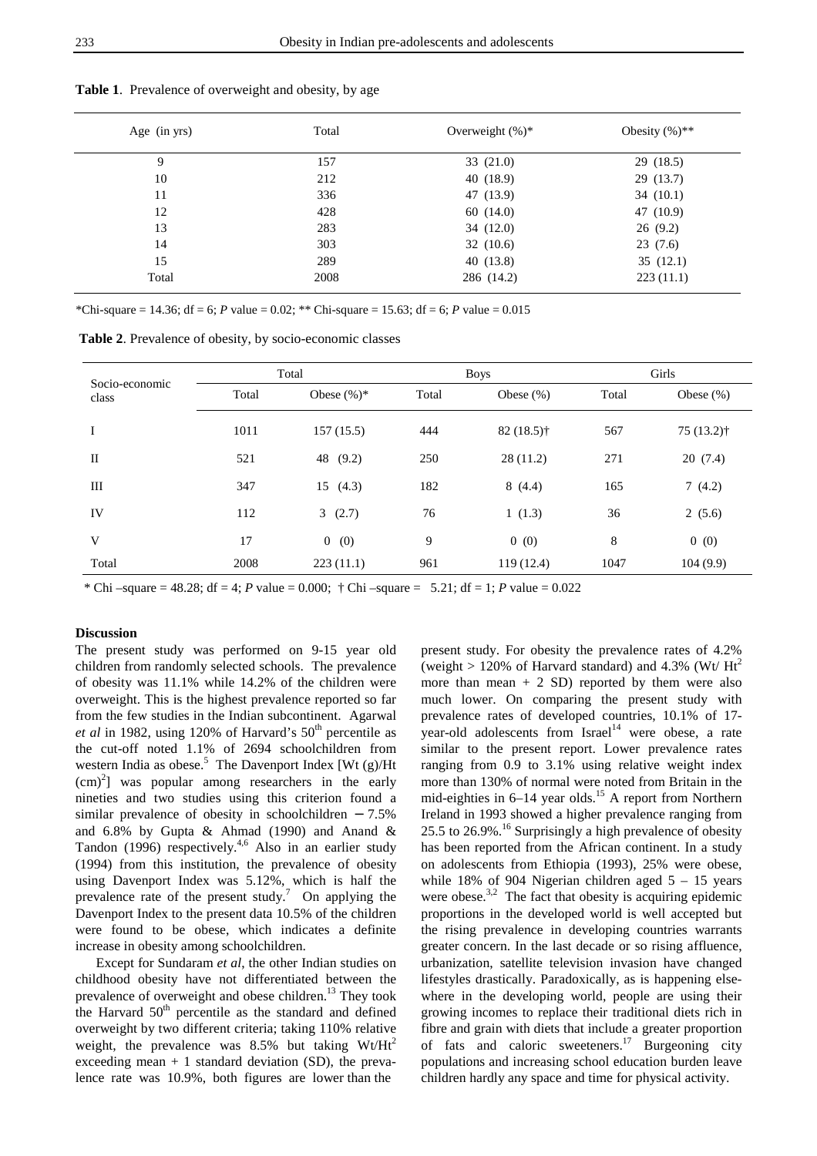| Age (in yrs) | Total | Overweight $(\%)^*$ | Obesity $(\%)$ ** |  |
|--------------|-------|---------------------|-------------------|--|
| 9            | 157   | 33(21.0)            | 29 (18.5)         |  |
| 10           | 212   | 40 (18.9)           | 29(13.7)          |  |
| 11           | 336   | 47 (13.9)           | 34(10.1)          |  |
| 12           | 428   | 60(14.0)            | 47 (10.9)         |  |
| 13           | 283   | 34(12.0)            | 26(9.2)           |  |
| 14           | 303   | 32(10.6)            | 23(7.6)           |  |
| 15           | 289   | 40(13.8)            | 35(12.1)          |  |
| Total        | 2008  | 286 (14.2)          | 223(11.1)         |  |

**Table 1**. Prevalence of overweight and obesity, by age

\*Chi-square = 14.36; df = 6; *P* value = 0.02; \*\* Chi-square = 15.63; df = 6; *P* value = 0.015

**Table 2**. Prevalence of obesity, by socio-economic classes

| Socio-economic<br>class | Total |                | <b>Boys</b> |              | Girls |               |
|-------------------------|-------|----------------|-------------|--------------|-------|---------------|
|                         | Total | Obese $(\%)^*$ | Total       | Obese $(\%)$ | Total | Obese $(\% )$ |
| I                       | 1011  | 157(15.5)      | 444         | $82(18.5)$ † | 567   | $75(13.2)$ †  |
| $\mathbf{I}$            | 521   | (9.2)<br>48    | 250         | 28(11.2)     | 271   | 20(7.4)       |
| $\mathop{\rm III}$      | 347   | 15(4.3)        | 182         | 8(4.4)       | 165   | 7(4.2)        |
| IV                      | 112   | 3(2.7)         | 76          | 1(1.3)       | 36    | 2(5.6)        |
| V                       | 17    | 0(0)           | 9           | 0(0)         | 8     | 0(0)          |
| Total                   | 2008  | 223(11.1)      | 961         | 119 (12.4)   | 1047  | 104(9.9)      |

\* Chi –square =  $48.28$ ; df = 4; *P* value = 0.000;  $\dagger$  Chi –square =  $5.21$ ; df = 1; *P* value = 0.022

#### **Discussion**

The present study was performed on 9-15 year old children from randomly selected schools. The prevalence of obesity was 11.1% while 14.2% of the children were overweight. This is the highest prevalence reported so far from the few studies in the Indian subcontinent. Agarwal *et al* in 1982, using 120% of Harvard's  $50<sup>th</sup>$  percentile as the cut-off noted 1.1% of 2694 schoolchildren from western India as obese.<sup>5</sup> The Davenport Index [Wt  $(g)/Ht$  $(cm)^2$ ] was popular among researchers in the early nineties and two studies using this criterion found a similar prevalence of obesity in schoolchildren − 7.5% and 6.8% by Gupta & Ahmad (1990) and Anand & Tandon (1996) respectively.<sup>4,6</sup> Also in an earlier study (1994) from this institution, the prevalence of obesity using Davenport Index was 5.12%, which is half the prevalence rate of the present study.<sup>7</sup> On applying the Davenport Index to the present data 10.5% of the children were found to be obese, which indicates a definite increase in obesity among schoolchildren.

 Except for Sundaram *et al*, the other Indian studies on childhood obesity have not differentiated between the prevalence of overweight and obese children.<sup>13</sup> They took the Harvard  $50<sup>th</sup>$  percentile as the standard and defined overweight by two different criteria; taking 110% relative weight, the prevalence was  $8.5\%$  but taking Wt/Ht<sup>2</sup> exceeding mean  $+1$  standard deviation (SD), the prevalence rate was 10.9%, both figures are lower than the

present study. For obesity the prevalence rates of 4.2% (weight  $> 120\%$  of Harvard standard) and 4.3% (Wt/ Ht<sup>2</sup> more than mean  $+ 2$  SD) reported by them were also much lower. On comparing the present study with prevalence rates of developed countries, 10.1% of 17 year-old adolescents from  $Israel<sup>14</sup>$  were obese, a rate similar to the present report. Lower prevalence rates ranging from 0.9 to 3.1% using relative weight index more than 130% of normal were noted from Britain in the mid-eighties in  $6-14$  year olds.<sup>15</sup> A report from Northern Ireland in 1993 showed a higher prevalence ranging from 25.5 to 26.9%.<sup>16</sup> Surprisingly a high prevalence of obesity has been reported from the African continent. In a study on adolescents from Ethiopia (1993), 25% were obese, while 18% of 904 Nigerian children aged  $5 - 15$  years were obese.<sup>3,2</sup> The fact that obesity is acquiring epidemic proportions in the developed world is well accepted but the rising prevalence in developing countries warrants greater concern. In the last decade or so rising affluence, urbanization, satellite television invasion have changed lifestyles drastically. Paradoxically, as is happening elsewhere in the developing world, people are using their growing incomes to replace their traditional diets rich in fibre and grain with diets that include a greater proportion of fats and caloric sweeteners.<sup>17</sup> Burgeoning city populations and increasing school education burden leave children hardly any space and time for physical activity.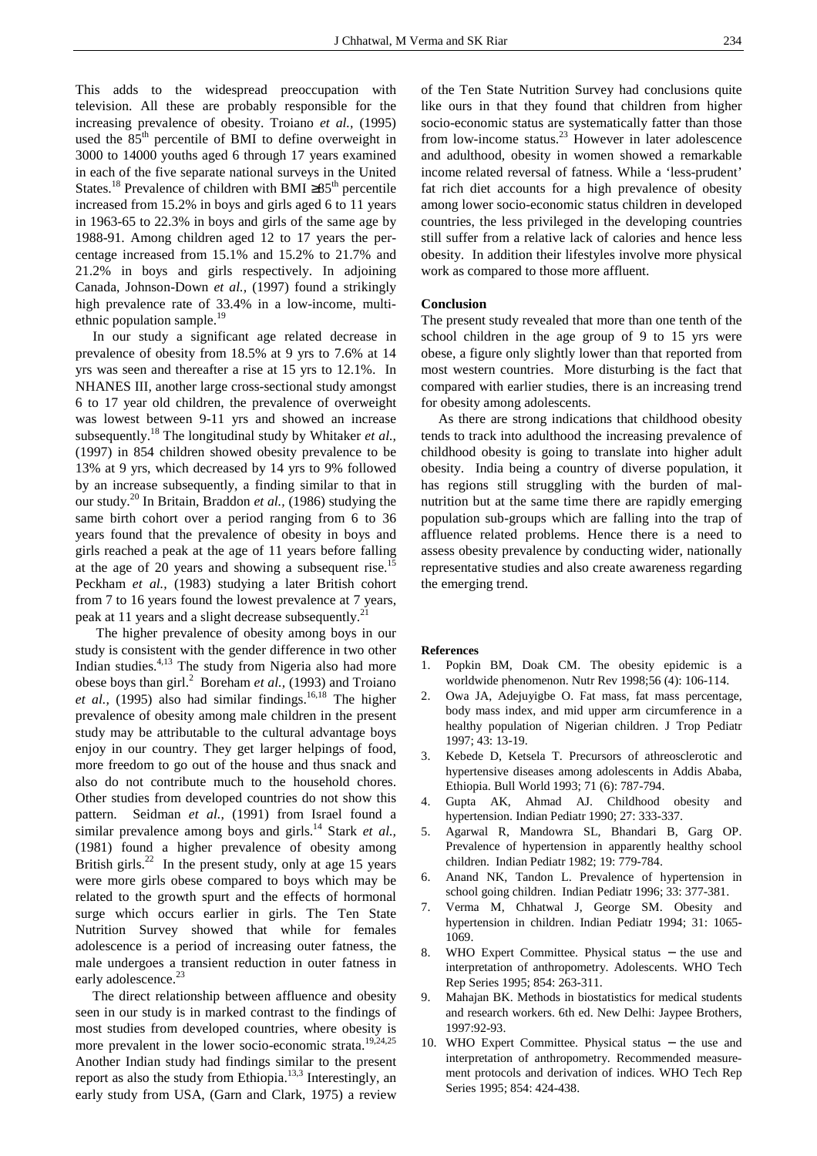This adds to the widespread preoccupation with television. All these are probably responsible for the increasing prevalence of obesity. Troiano *et al.,* (1995) used the  $85<sup>th</sup>$  percentile of BMI to define overweight in 3000 to 14000 youths aged 6 through 17 years examined in each of the five separate national surveys in the United States.<sup>18</sup> Prevalence of children with BMI ≥85<sup>th</sup> percentile increased from 15.2% in boys and girls aged 6 to 11 years in 1963-65 to 22.3% in boys and girls of the same age by 1988-91. Among children aged 12 to 17 years the percentage increased from 15.1% and 15.2% to 21.7% and 21.2% in boys and girls respectively. In adjoining Canada, Johnson-Down *et al.,* (1997) found a strikingly high prevalence rate of 33.4% in a low-income, multiethnic population sample.<sup>19</sup>

 In our study a significant age related decrease in prevalence of obesity from 18.5% at 9 yrs to 7.6% at 14 yrs was seen and thereafter a rise at 15 yrs to 12.1%. In NHANES III, another large cross-sectional study amongst 6 to 17 year old children, the prevalence of overweight was lowest between 9-11 yrs and showed an increase subsequently.18 The longitudinal study by Whitaker *et al.,* (1997) in 854 children showed obesity prevalence to be 13% at 9 yrs, which decreased by 14 yrs to 9% followed by an increase subsequently, a finding similar to that in our study.20 In Britain, Braddon *et al.,* (1986) studying the same birth cohort over a period ranging from 6 to 36 years found that the prevalence of obesity in boys and girls reached a peak at the age of 11 years before falling at the age of 20 years and showing a subsequent rise.<sup>15</sup> Peckham *et al.,* (1983) studying a later British cohort from 7 to 16 years found the lowest prevalence at 7 years, peak at 11 years and a slight decrease subsequently.<sup>2</sup>

 The higher prevalence of obesity among boys in our study is consistent with the gender difference in two other Indian studies.4,13 The study from Nigeria also had more obese boys than girl.<sup>2</sup> Boreham *et al.*, (1993) and Troiano *et al.*, (1995) also had similar findings.<sup>16,18</sup> The higher prevalence of obesity among male children in the present study may be attributable to the cultural advantage boys enjoy in our country. They get larger helpings of food, more freedom to go out of the house and thus snack and also do not contribute much to the household chores. Other studies from developed countries do not show this pattern. Seidman *et al.,* (1991) from Israel found a similar prevalence among boys and girls.<sup>14</sup> Stark *et al.*, (1981) found a higher prevalence of obesity among British girls.<sup>22</sup> In the present study, only at age 15 years were more girls obese compared to boys which may be related to the growth spurt and the effects of hormonal surge which occurs earlier in girls. The Ten State Nutrition Survey showed that while for females adolescence is a period of increasing outer fatness, the male undergoes a transient reduction in outer fatness in early adolescence.<sup>23</sup>

 The direct relationship between affluence and obesity seen in our study is in marked contrast to the findings of most studies from developed countries, where obesity is more prevalent in the lower socio-economic strata.<sup>19,24,25</sup> Another Indian study had findings similar to the present report as also the study from Ethiopia.<sup>13,3</sup> Interestingly, an early study from USA, (Garn and Clark, 1975) a review

of the Ten State Nutrition Survey had conclusions quite like ours in that they found that children from higher socio-economic status are systematically fatter than those from low-income status. $^{23}$  However in later adolescence and adulthood, obesity in women showed a remarkable income related reversal of fatness. While a 'less-prudent' fat rich diet accounts for a high prevalence of obesity among lower socio-economic status children in developed countries, the less privileged in the developing countries still suffer from a relative lack of calories and hence less obesity. In addition their lifestyles involve more physical work as compared to those more affluent.

#### **Conclusion**

The present study revealed that more than one tenth of the school children in the age group of 9 to 15 yrs were obese, a figure only slightly lower than that reported from most western countries. More disturbing is the fact that compared with earlier studies, there is an increasing trend for obesity among adolescents.

 As there are strong indications that childhood obesity tends to track into adulthood the increasing prevalence of childhood obesity is going to translate into higher adult obesity. India being a country of diverse population, it has regions still struggling with the burden of malnutrition but at the same time there are rapidly emerging population sub-groups which are falling into the trap of affluence related problems. Hence there is a need to assess obesity prevalence by conducting wider, nationally representative studies and also create awareness regarding the emerging trend.

#### **References**

- 1. Popkin BM, Doak CM. The obesity epidemic is a worldwide phenomenon. Nutr Rev 1998;56 (4): 106-114.
- 2. Owa JA, Adejuyigbe O. Fat mass, fat mass percentage, body mass index, and mid upper arm circumference in a healthy population of Nigerian children. J Trop Pediatr 1997; 43: 13-19.
- 3. Kebede D, Ketsela T. Precursors of athreosclerotic and hypertensive diseases among adolescents in Addis Ababa, Ethiopia. Bull World 1993; 71 (6): 787-794.
- 4. Gupta AK, Ahmad AJ. Childhood obesity and hypertension. Indian Pediatr 1990; 27: 333-337.
- 5. Agarwal R, Mandowra SL, Bhandari B, Garg OP. Prevalence of hypertension in apparently healthy school children. Indian Pediatr 1982; 19: 779-784.
- 6. Anand NK, Tandon L. Prevalence of hypertension in school going children. Indian Pediatr 1996; 33: 377-381.
- 7. Verma M, Chhatwal J, George SM. Obesity and hypertension in children. Indian Pediatr 1994; 31: 1065- 1069.
- 8. WHO Expert Committee. Physical status − the use and interpretation of anthropometry. Adolescents. WHO Tech Rep Series 1995; 854: 263-311.
- Mahajan BK. Methods in biostatistics for medical students and research workers. 6th ed. New Delhi: Jaypee Brothers, 1997:92-93.
- 10. WHO Expert Committee. Physical status − the use and interpretation of anthropometry. Recommended measurement protocols and derivation of indices. WHO Tech Rep Series 1995; 854: 424-438.